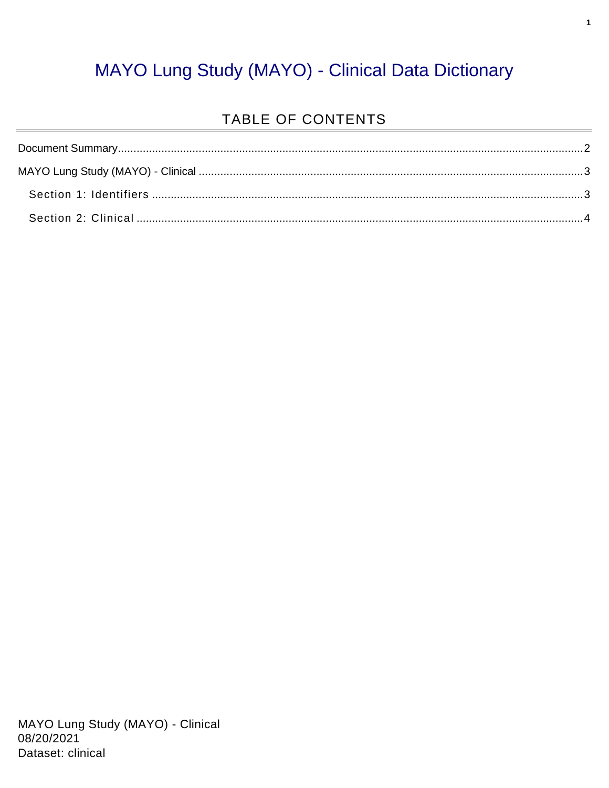#### MAYO Lung Study (MAYO) - Clinical Data Dictionary

#### TABLE OF CONTENTS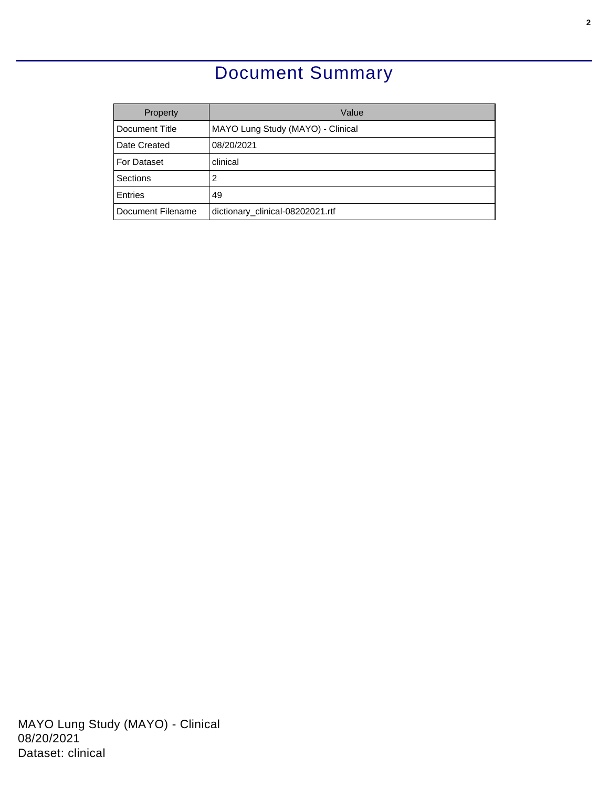### Document Summary

<span id="page-1-0"></span>

| Property          | Value                             |  |  |
|-------------------|-----------------------------------|--|--|
| Document Title    | MAYO Lung Study (MAYO) - Clinical |  |  |
| Date Created      | 08/20/2021                        |  |  |
| For Dataset       | clinical                          |  |  |
| Sections          | 2                                 |  |  |
| <b>Entries</b>    | 49                                |  |  |
| Document Filename | dictionary_clinical-08202021.rtf  |  |  |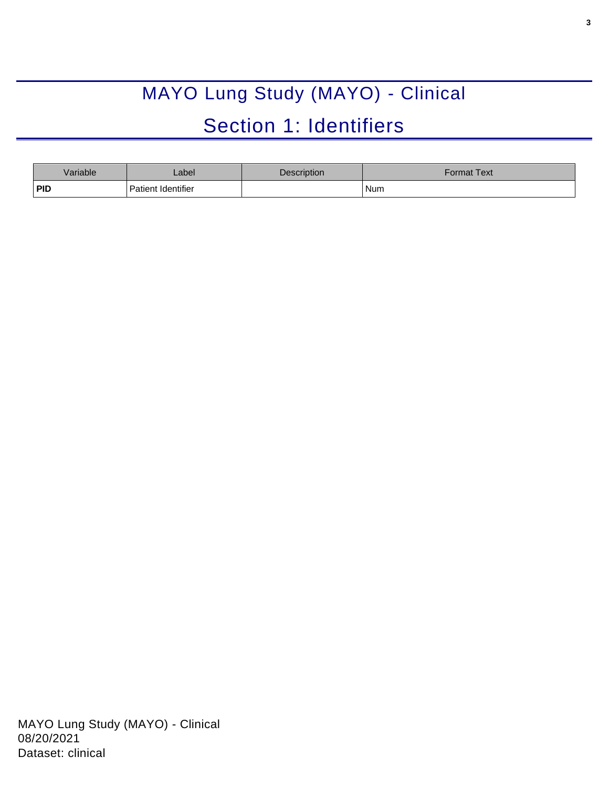# MAYO Lung Study (MAYO) - Clinical Section 1: Identifiers

<span id="page-2-1"></span><span id="page-2-0"></span>

| <b>Variable</b> | Label              | Description | Format Text |
|-----------------|--------------------|-------------|-------------|
| <b>PID</b>      | Patient Identifier |             | Num         |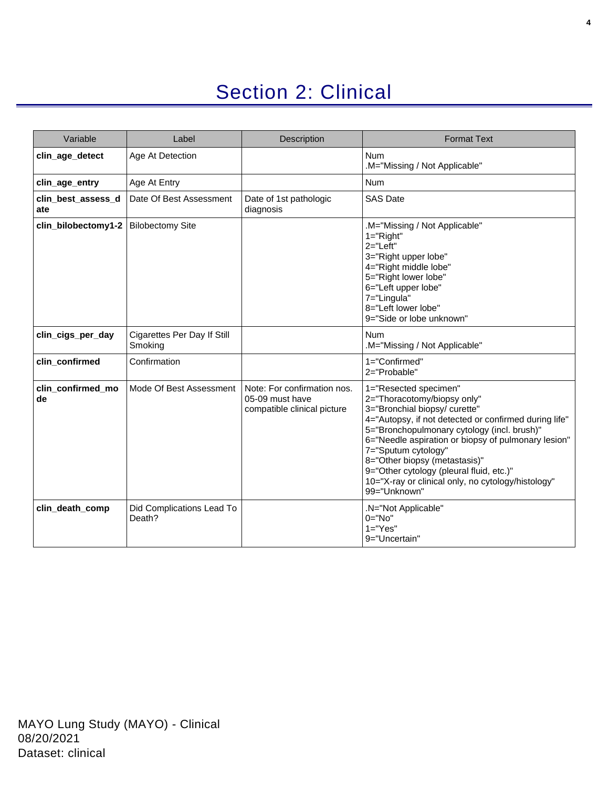## Section 2: Clinical

<span id="page-3-0"></span>

| Variable                  | Label                                  | Description                                                                   | <b>Format Text</b>                                                                                                                                                                                                                                                                                                                                                                                                             |
|---------------------------|----------------------------------------|-------------------------------------------------------------------------------|--------------------------------------------------------------------------------------------------------------------------------------------------------------------------------------------------------------------------------------------------------------------------------------------------------------------------------------------------------------------------------------------------------------------------------|
| clin_age_detect           | Age At Detection                       |                                                                               | <b>Num</b><br>.M="Missing / Not Applicable"                                                                                                                                                                                                                                                                                                                                                                                    |
| clin_age_entry            | Age At Entry                           |                                                                               | <b>Num</b>                                                                                                                                                                                                                                                                                                                                                                                                                     |
| clin_best_assess_d<br>ate | Date Of Best Assessment                | Date of 1st pathologic<br>diagnosis                                           | <b>SAS Date</b>                                                                                                                                                                                                                                                                                                                                                                                                                |
| clin_bilobectomy1-2       | <b>Bilobectomy Site</b>                |                                                                               | M="Missing / Not Applicable"<br>$1 = "Right"$<br>$2 = "Left"$<br>3="Right upper lobe"<br>4="Right middle lobe"<br>5="Right lower lobe"<br>6="Left upper lobe"<br>7="Lingula"<br>8="Left lower lobe"<br>9="Side or lobe unknown"                                                                                                                                                                                                |
| clin_cigs_per_day         | Cigarettes Per Day If Still<br>Smoking |                                                                               | <b>Num</b><br>M="Missing / Not Applicable"                                                                                                                                                                                                                                                                                                                                                                                     |
| clin_confirmed            | Confirmation                           |                                                                               | 1="Confirmed"<br>2="Probable"                                                                                                                                                                                                                                                                                                                                                                                                  |
| clin_confirmed_mo<br>de   | Mode Of Best Assessment                | Note: For confirmation nos.<br>05-09 must have<br>compatible clinical picture | 1="Resected specimen"<br>2="Thoracotomy/biopsy only"<br>3="Bronchial biopsy/ curette"<br>4="Autopsy, if not detected or confirmed during life"<br>5="Bronchopulmonary cytology (incl. brush)"<br>6="Needle aspiration or biopsy of pulmonary lesion"<br>7="Sputum cytology"<br>8="Other biopsy (metastasis)"<br>9="Other cytology (pleural fluid, etc.)"<br>10="X-ray or clinical only, no cytology/histology"<br>99="Unknown" |
| clin_death_comp           | Did Complications Lead To<br>Death?    |                                                                               | .N="Not Applicable"<br>$0 = "No"$<br>$1 = "Yes"$<br>9="Uncertain"                                                                                                                                                                                                                                                                                                                                                              |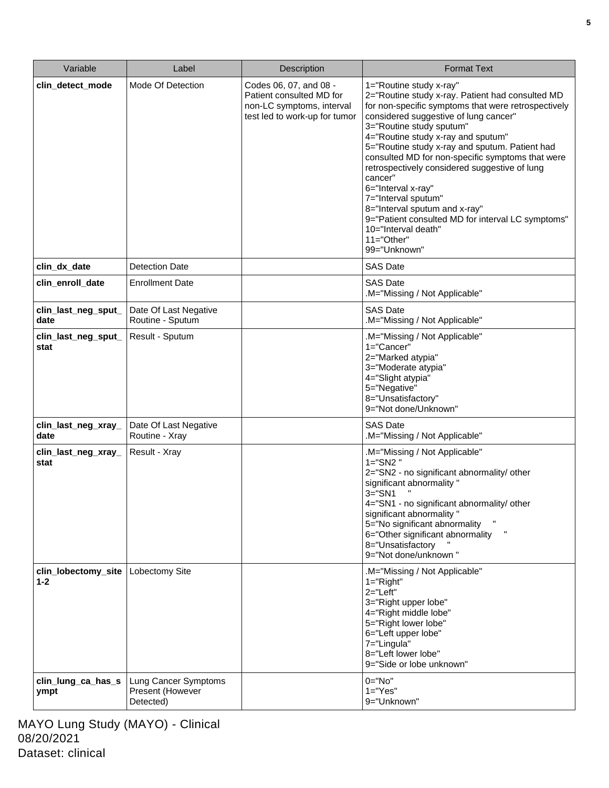| Variable                         | Label                                                 | Description                                                                                                      | <b>Format Text</b>                                                                                                                                                                                                                                                                                                                                                                                                                                                                                                                                                                                        |
|----------------------------------|-------------------------------------------------------|------------------------------------------------------------------------------------------------------------------|-----------------------------------------------------------------------------------------------------------------------------------------------------------------------------------------------------------------------------------------------------------------------------------------------------------------------------------------------------------------------------------------------------------------------------------------------------------------------------------------------------------------------------------------------------------------------------------------------------------|
| clin_detect_mode                 | Mode Of Detection                                     | Codes 06, 07, and 08 -<br>Patient consulted MD for<br>non-LC symptoms, interval<br>test led to work-up for tumor | 1="Routine study x-ray"<br>2="Routine study x-ray. Patient had consulted MD<br>for non-specific symptoms that were retrospectively<br>considered suggestive of lung cancer"<br>3="Routine study sputum"<br>4="Routine study x-ray and sputum"<br>5="Routine study x-ray and sputum. Patient had<br>consulted MD for non-specific symptoms that were<br>retrospectively considered suggestive of lung<br>cancer"<br>6="Interval x-ray"<br>7="Interval sputum"<br>8="Interval sputum and x-ray"<br>9="Patient consulted MD for interval LC symptoms"<br>10="Interval death"<br>$11="Other"$<br>99="Unknown" |
| clin_dx_date<br>clin_enroll_date | <b>Detection Date</b><br><b>Enrollment Date</b>       |                                                                                                                  | <b>SAS Date</b><br><b>SAS Date</b>                                                                                                                                                                                                                                                                                                                                                                                                                                                                                                                                                                        |
|                                  |                                                       |                                                                                                                  | .M="Missing / Not Applicable"                                                                                                                                                                                                                                                                                                                                                                                                                                                                                                                                                                             |
| clin_last_neg_sput_<br>date      | Date Of Last Negative<br>Routine - Sputum             |                                                                                                                  | <b>SAS Date</b><br>M="Missing / Not Applicable"                                                                                                                                                                                                                                                                                                                                                                                                                                                                                                                                                           |
| clin_last_neg_sput_<br>stat      | Result - Sputum                                       |                                                                                                                  | .M="Missing / Not Applicable"<br>1="Cancer"<br>2="Marked atypia"<br>3="Moderate atypia"<br>4="Slight atypia"<br>5="Negative"<br>8="Unsatisfactory"<br>9="Not done/Unknown"                                                                                                                                                                                                                                                                                                                                                                                                                                |
| clin_last_neg_xray_<br>date      | Date Of Last Negative<br>Routine - Xray               |                                                                                                                  | <b>SAS Date</b><br>M="Missing / Not Applicable"                                                                                                                                                                                                                                                                                                                                                                                                                                                                                                                                                           |
| clin_last_neg_xray_<br>stat      | Result - Xray                                         |                                                                                                                  | .M="Missing / Not Applicable"<br>$1 = "S N2"$<br>2="SN2 - no significant abnormality/ other<br>significant abnormality "<br>$3 = "SN1$<br>4="SN1 - no significant abnormality/ other<br>significant abnormality "<br>5="No significant abnormality<br>6="Other significant abnormality<br>8="Unsatisfactory<br>9="Not done/unknown"                                                                                                                                                                                                                                                                       |
| clin_lobectomy_site<br>$1 - 2$   | Lobectomy Site                                        |                                                                                                                  | .M="Missing / Not Applicable"<br>$1 = "Right"$<br>$2 = "Left"$<br>3="Right upper lobe"<br>4="Right middle lobe"<br>5="Right lower lobe"<br>6="Left upper lobe"<br>7="Lingula"<br>8="Left lower lobe"<br>9="Side or lobe unknown"                                                                                                                                                                                                                                                                                                                                                                          |
| clin_lung_ca_has_s<br>ympt       | Lung Cancer Symptoms<br>Present (However<br>Detected) |                                                                                                                  | $0 = "No"$<br>$1="Yes"$<br>9="Unknown"                                                                                                                                                                                                                                                                                                                                                                                                                                                                                                                                                                    |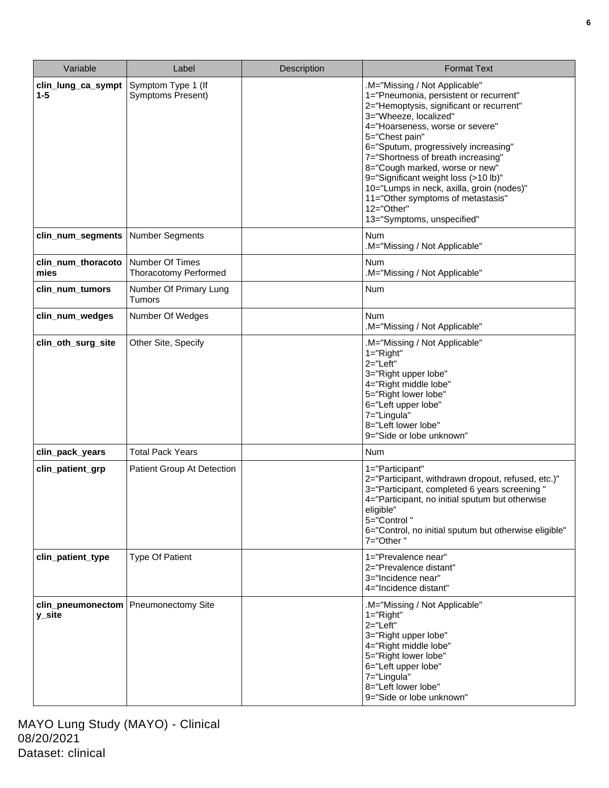| Variable                                         | Label                                           | <b>Description</b> | <b>Format Text</b>                                                                                                                                                                                                                                                                                                                                                                                                                                                                      |
|--------------------------------------------------|-------------------------------------------------|--------------------|-----------------------------------------------------------------------------------------------------------------------------------------------------------------------------------------------------------------------------------------------------------------------------------------------------------------------------------------------------------------------------------------------------------------------------------------------------------------------------------------|
| clin_lung_ca_sympt<br>$1 - 5$                    | Symptom Type 1 (If<br><b>Symptoms Present)</b>  |                    | .M="Missing / Not Applicable"<br>1="Pneumonia, persistent or recurrent"<br>2="Hemoptysis, significant or recurrent"<br>3="Wheeze, localized"<br>4="Hoarseness, worse or severe"<br>5="Chest pain"<br>6="Sputum, progressively increasing"<br>7="Shortness of breath increasing"<br>8="Cough marked, worse or new"<br>9="Significant weight loss (>10 lb)"<br>10="Lumps in neck, axilla, groin (nodes)"<br>11="Other symptoms of metastasis"<br>12="Other"<br>13="Symptoms, unspecified" |
| clin_num_segments                                | <b>Number Segments</b>                          |                    | <b>Num</b><br>.M="Missing / Not Applicable"                                                                                                                                                                                                                                                                                                                                                                                                                                             |
| clin_num_thoracoto<br>mies                       | Number Of Times<br><b>Thoracotomy Performed</b> |                    | <b>Num</b><br>.M="Missing / Not Applicable"                                                                                                                                                                                                                                                                                                                                                                                                                                             |
| clin_num_tumors                                  | Number Of Primary Lung<br><b>Tumors</b>         |                    | Num                                                                                                                                                                                                                                                                                                                                                                                                                                                                                     |
| clin_num_wedges                                  | Number Of Wedges                                |                    | <b>Num</b><br>.M="Missing / Not Applicable"                                                                                                                                                                                                                                                                                                                                                                                                                                             |
| clin_oth_surg_site                               | Other Site, Specify                             |                    | .M="Missing / Not Applicable"<br>$1 = "Right"$<br>$2 = "Left"$<br>3="Right upper lobe"<br>4="Right middle lobe"<br>5="Right lower lobe"<br>6="Left upper lobe"<br>7="Lingula"<br>8="Left lower lobe"<br>9="Side or lobe unknown"                                                                                                                                                                                                                                                        |
| clin_pack_years                                  | <b>Total Pack Years</b>                         |                    | <b>Num</b>                                                                                                                                                                                                                                                                                                                                                                                                                                                                              |
| clin_patient_grp                                 | Patient Group At Detection                      |                    | 1="Participant"<br>2="Participant, withdrawn dropout, refused, etc.)"<br>3="Participant, completed 6 years screening "<br>4="Participant, no initial sputum but otherwise<br>eligible"<br>5="Control"<br>6="Control, no initial sputum but otherwise eligible"<br>7="Other"                                                                                                                                                                                                             |
| clin_patient_type                                | <b>Type Of Patient</b>                          |                    | 1="Prevalence near"<br>2="Prevalence distant"<br>3="Incidence near"<br>4="Incidence distant"                                                                                                                                                                                                                                                                                                                                                                                            |
| clin_pneumonectom   Pneumonectomy Site<br>y_site |                                                 |                    | .M="Missing / Not Applicable"<br>$1 = "Right"$<br>2="Left"<br>3="Right upper lobe"<br>4="Right middle lobe"<br>5="Right lower lobe"<br>6="Left upper lobe"<br>7="Lingula"<br>8="Left lower lobe"<br>9="Side or lobe unknown"                                                                                                                                                                                                                                                            |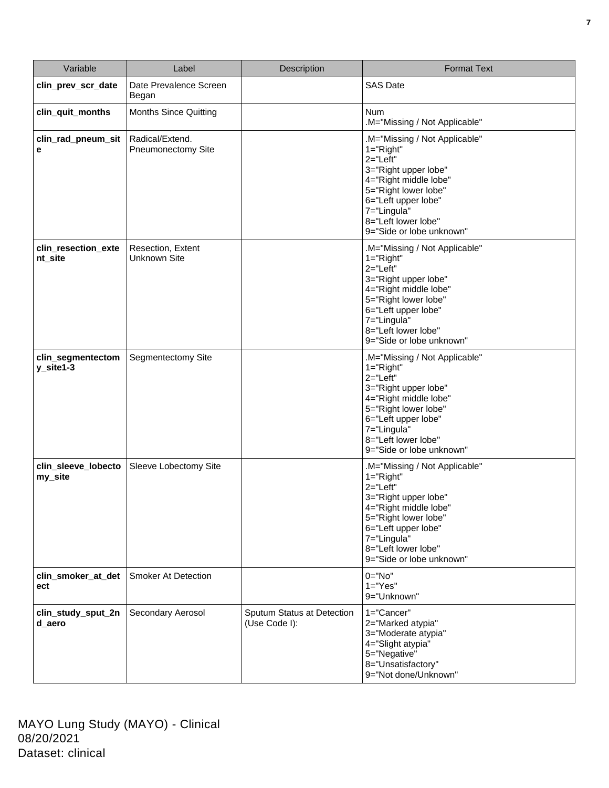| Variable                       | Label                                        | Description                                 | <b>Format Text</b>                                                                                                                                                                                                               |
|--------------------------------|----------------------------------------------|---------------------------------------------|----------------------------------------------------------------------------------------------------------------------------------------------------------------------------------------------------------------------------------|
| clin_prev_scr_date             | Date Prevalence Screen<br>Began              |                                             | <b>SAS Date</b>                                                                                                                                                                                                                  |
| clin_quit_months               | <b>Months Since Quitting</b>                 |                                             | <b>Num</b><br>.M="Missing / Not Applicable"                                                                                                                                                                                      |
| clin_rad_pneum_sit<br>е        | Radical/Extend.<br><b>Pneumonectomy Site</b> |                                             | M="Missing / Not Applicable"<br>$1 = "Right"$<br>$2 = "Left"$<br>3="Right upper lobe"<br>4="Right middle lobe"<br>5="Right lower lobe"<br>6="Left upper lobe"<br>7="Lingula"<br>8="Left lower lobe"<br>9="Side or lobe unknown"  |
| clin_resection_exte<br>nt_site | Resection, Extent<br><b>Unknown Site</b>     |                                             | .M="Missing / Not Applicable"<br>$1 = "Right"$<br>2="Left"<br>3="Right upper lobe"<br>4="Right middle lobe"<br>5="Right lower lobe"<br>6="Left upper lobe"<br>7="Lingula"<br>8="Left lower lobe"<br>9="Side or lobe unknown"     |
| clin_segmentectom<br>y_site1-3 | Segmentectomy Site                           |                                             | .M="Missing / Not Applicable"<br>$1 = "Right"$<br>$2 = "Left"$<br>3="Right upper lobe"<br>4="Right middle lobe"<br>5="Right lower lobe"<br>6="Left upper lobe"<br>7="Lingula"<br>8="Left lower lobe"<br>9="Side or lobe unknown" |
| clin_sleeve_lobecto<br>my_site | Sleeve Lobectomy Site                        |                                             | .M="Missing / Not Applicable"<br>1="Right"<br>$2 = "Left"$<br>3="Right upper lobe"<br>4="Right middle lobe"<br>5="Right lower lobe"<br>6="Left upper lobe"<br>7="Lingula"<br>8="Left lower lobe"<br>9="Side or lobe unknown"     |
| clin_smoker_at_det<br>ect      | <b>Smoker At Detection</b>                   |                                             | $0 = "No"$<br>$1 = "Yes"$<br>9="Unknown"                                                                                                                                                                                         |
| clin_study_sput_2n<br>d_aero   | Secondary Aerosol                            | Sputum Status at Detection<br>(Use Code I): | 1="Cancer"<br>2="Marked atypia"<br>3="Moderate atypia"<br>4="Slight atypia"<br>5="Negative"<br>8="Unsatisfactory"<br>9="Not done/Unknown"                                                                                        |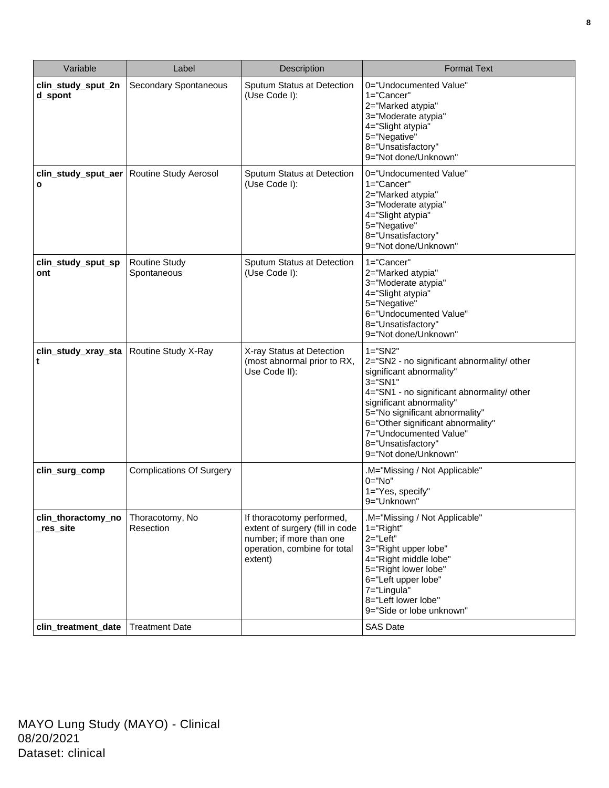| Variable                            | Label                               | Description                                                                                                                         | <b>Format Text</b>                                                                                                                                                                                                                                                                                                             |
|-------------------------------------|-------------------------------------|-------------------------------------------------------------------------------------------------------------------------------------|--------------------------------------------------------------------------------------------------------------------------------------------------------------------------------------------------------------------------------------------------------------------------------------------------------------------------------|
| clin_study_sput_2n<br>d_spont       | Secondary Spontaneous               | Sputum Status at Detection<br>(Use Code I):                                                                                         | 0="Undocumented Value"<br>$1 = "Cancer"$<br>2="Marked atypia"<br>3="Moderate atypia"<br>4="Slight atypia"<br>5="Negative"<br>8="Unsatisfactory"<br>9="Not done/Unknown"                                                                                                                                                        |
| clin study sput aer<br>$\mathbf{o}$ | Routine Study Aerosol               | Sputum Status at Detection<br>(Use Code I):                                                                                         | 0="Undocumented Value"<br>1="Cancer"<br>2="Marked atypia"<br>3="Moderate atypia"<br>4="Slight atypia"<br>5="Negative"<br>8="Unsatisfactory"<br>9="Not done/Unknown"                                                                                                                                                            |
| clin_study_sput_sp<br>ont           | <b>Routine Study</b><br>Spontaneous | Sputum Status at Detection<br>(Use Code I):                                                                                         | 1="Cancer"<br>2="Marked atypia"<br>3="Moderate atypia"<br>4="Slight atypia"<br>5="Negative"<br>6="Undocumented Value"<br>8="Unsatisfactory"<br>9="Not done/Unknown"                                                                                                                                                            |
| clin_study_xray_sta<br>t            | Routine Study X-Ray                 | X-ray Status at Detection<br>(most abnormal prior to RX,<br>Use Code II):                                                           | $1 = "SN2"$<br>2="SN2 - no significant abnormality/ other<br>significant abnormality"<br>$3 = "S N1"$<br>4="SN1 - no significant abnormality/ other<br>significant abnormality"<br>5="No significant abnormality"<br>6="Other significant abnormality"<br>7="Undocumented Value"<br>8="Unsatisfactory"<br>9="Not done/Unknown" |
| clin_surg_comp                      | <b>Complications Of Surgery</b>     |                                                                                                                                     | .M="Missing / Not Applicable"<br>$0="No"$<br>1="Yes, specify"<br>9="Unknown"                                                                                                                                                                                                                                                   |
| clin_thoractomy_no<br>_res_site     | Thoracotomy, No<br>Resection        | If thoracotomy performed,<br>extent of surgery (fill in code<br>number; if more than one<br>operation, combine for total<br>extent) | M="Missing / Not Applicable"<br>$1 = "Right"$<br>$2 = "Left"$<br>3="Right upper lobe"<br>4="Right middle lobe"<br>5="Right lower lobe"<br>6="Left upper lobe"<br>7="Lingula"<br>8="Left lower lobe"<br>9="Side or lobe unknown"                                                                                                |
| clin_treatment_date                 | <b>Treatment Date</b>               |                                                                                                                                     | <b>SAS Date</b>                                                                                                                                                                                                                                                                                                                |